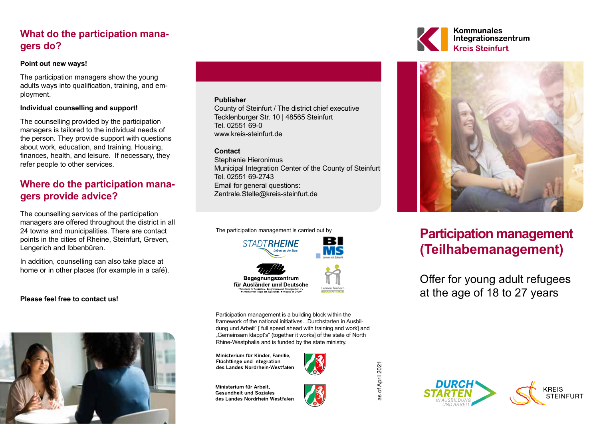## **What do the participation managers do?**

### **Point out new ways!**

The participation managers show the young adults ways into qualification, training, and employment.

### **Individual counselling and support!**

The counselling provided by the participation managers is tailored to the individual needs of the person. They provide support with questions about work, education, and training. Housing, finances, health, and leisure. If necessary, they refer people to other services.

## **Where do the participation managers provide advice?**

The counselling services of the participation managers are offered throughout the district in all 24 towns and municipalities. There are contact points in the cities of Rheine, Steinfurt, Greven, Lengerich and Ibbenbüren.

In addition, counselling can also take place at home or in other places (for example in a café).

### **Please feel free to contact us!**



### **Publisher**

County of Steinfurt / The district chief executive Tecklenburger Str. 10 | 48565 Steinfurt Tel. 02551 69-0 www.kreis-steinfurt.de

### **Contact**

Stephanie Hieronimus Municipal Integration Center of the County of Steinfurt Tel. 02551 69-2743 Email for general questions: Zentrale.Stelle@kreis-steinfurt.de

The participation management is carried out by



Participation management is a building block within the framework of the national initiatives. "Durchstarten in Ausbildung und Arbeit" [ full speed ahead with training and work] and "Gemeinsam klappt's" (together it works] of the state of North Rhine-Westphalia and is funded by the state ministry.

Ministerium für Kinder, Familie. Flüchtlinge und Integration des Landes Nordrhein-Westfalen





of April 2021 as of April 2021





# **Participation management (Teilhabemanagement)**

Offer for young adult refugees at the age of 18 to 27 years